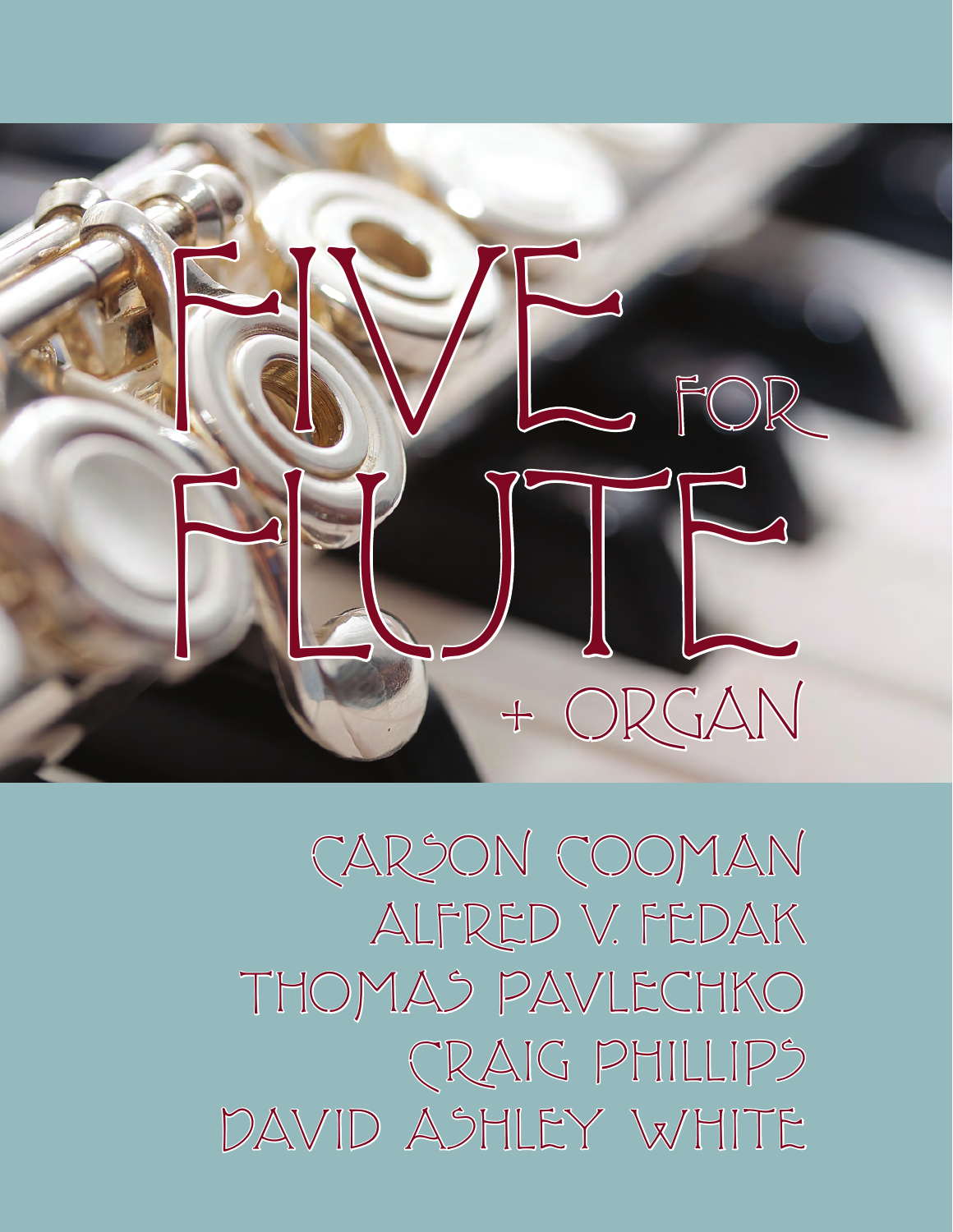

Carson Cooman Alfred V. Fedak Thomas Pavlechko Craig Phillips David Ashley White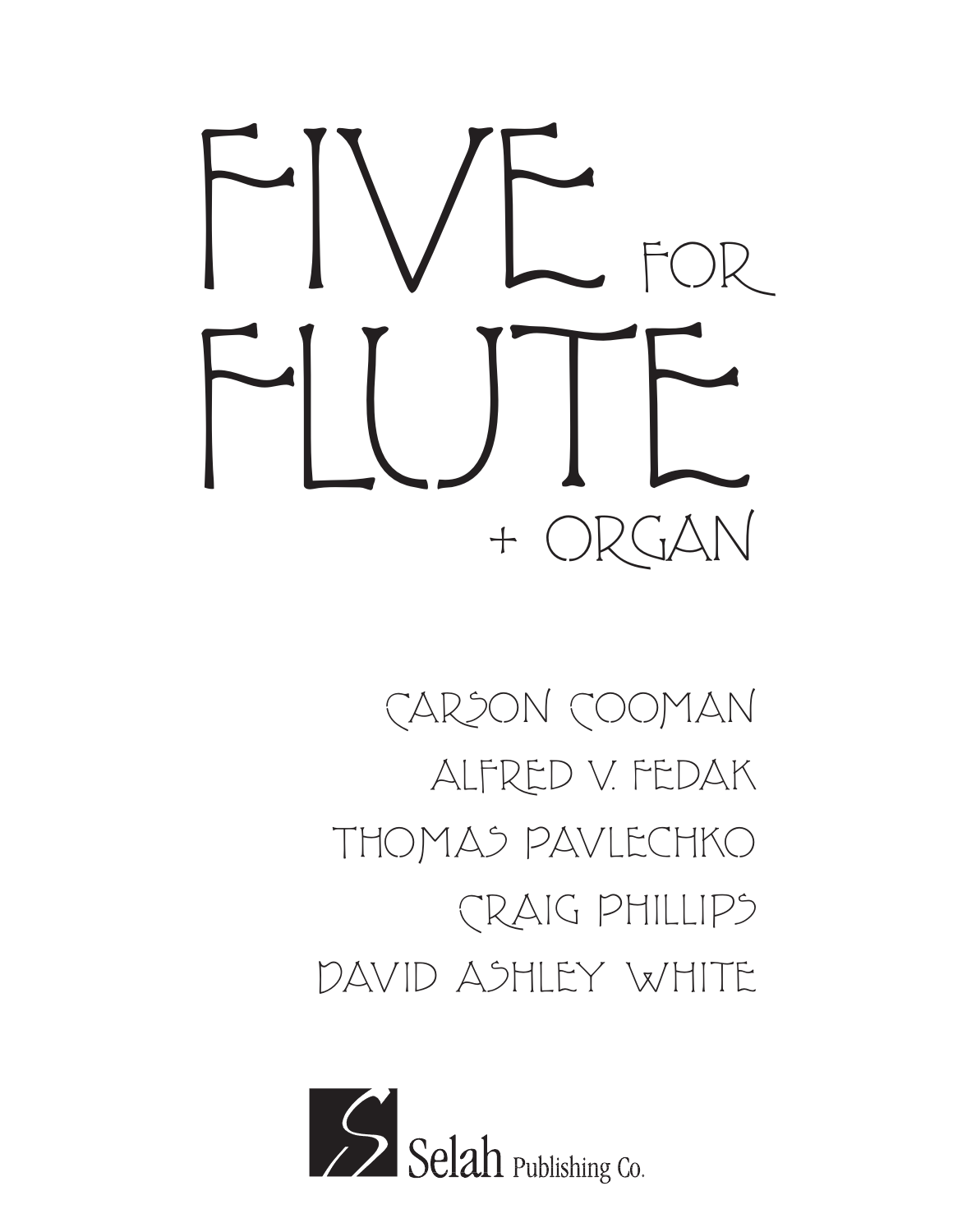## FIVE FOR FLUTE + ORGAN

## Carson Cooman Alfred V. Fedak Thomas Pavlechko Craig Phillips David Ashley White

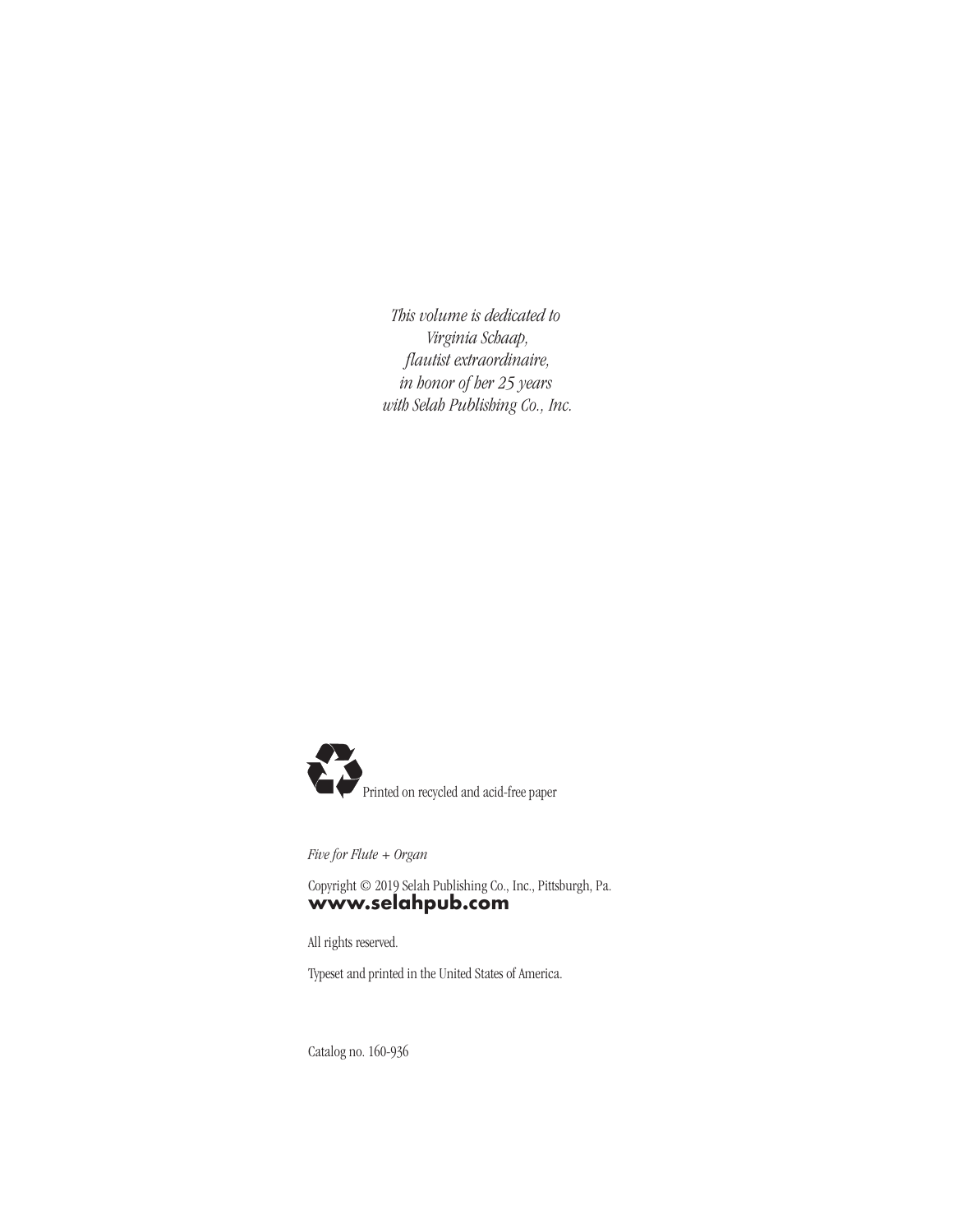*This volume is dedicated to ,Virginia Schaap, ,flautist extraordinaire, in honor of her 25 years .with Selah Publishing Co., Inc.*



*Five for Flute + Organ*

Copyright © 2019 Selah Publishing Co., Inc., Pittsburgh, Pa. **www.selahpub.com**

All rights reserved.

Typeset and printed in the United States of America.

Catalog no. 160-936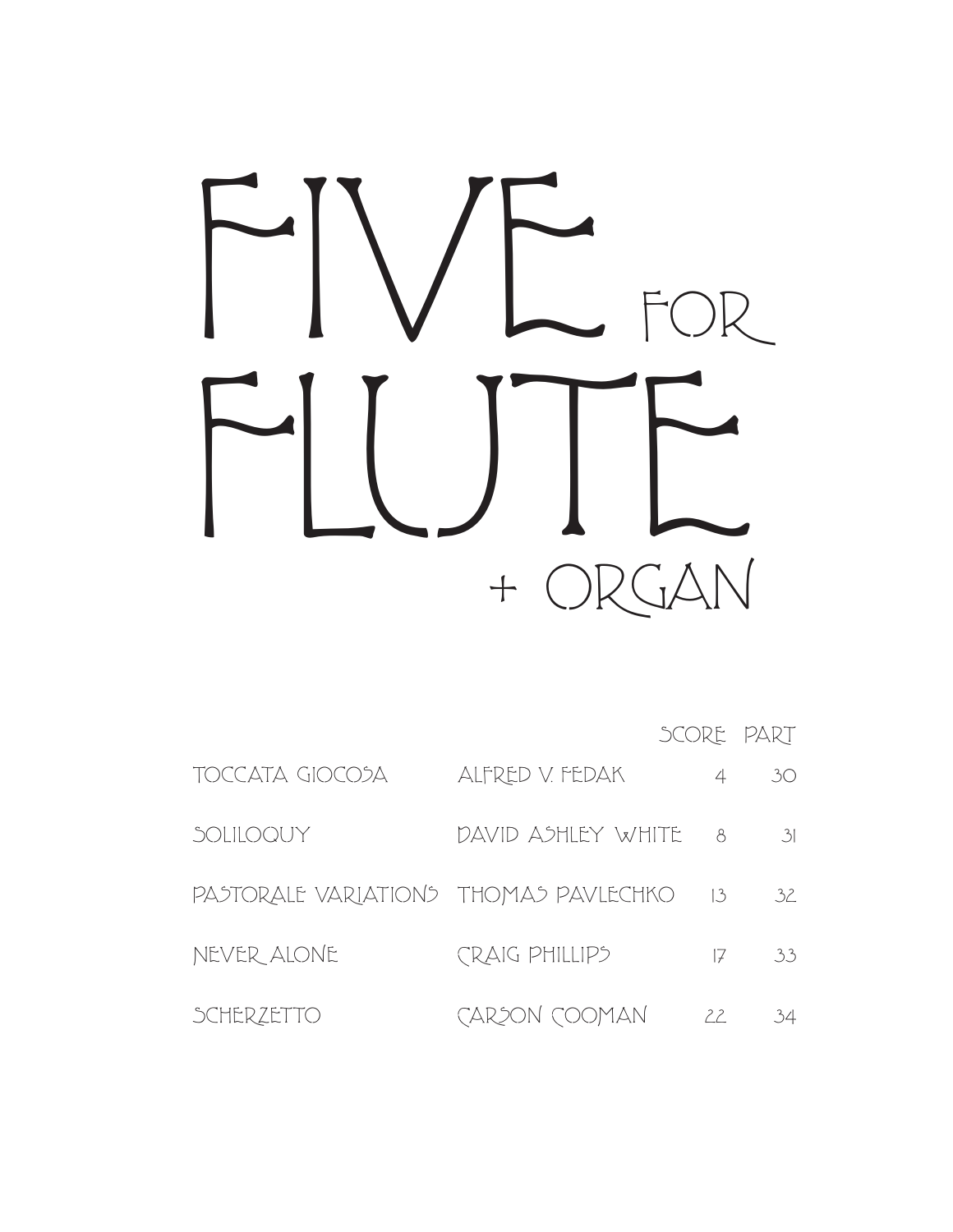

Score Part

| TOCCATA GIOCOSA                          | ALFRED V. FEDAK       | 4   | 30            |
|------------------------------------------|-----------------------|-----|---------------|
| <b>SOLILOQUY</b>                         | DAVID ASHLEY WHITE    | - 8 | $\mathcal{E}$ |
| PASTORALE VARIATIONS THOMAS PAVLECHKO 13 |                       |     | $32^{\circ}$  |
| NEVER ALONE                              | <b>CRAIG PHILLIPS</b> | 17  | 33            |
| SCHERZETTO                               | CARSON COOMAN         | 72  | .34           |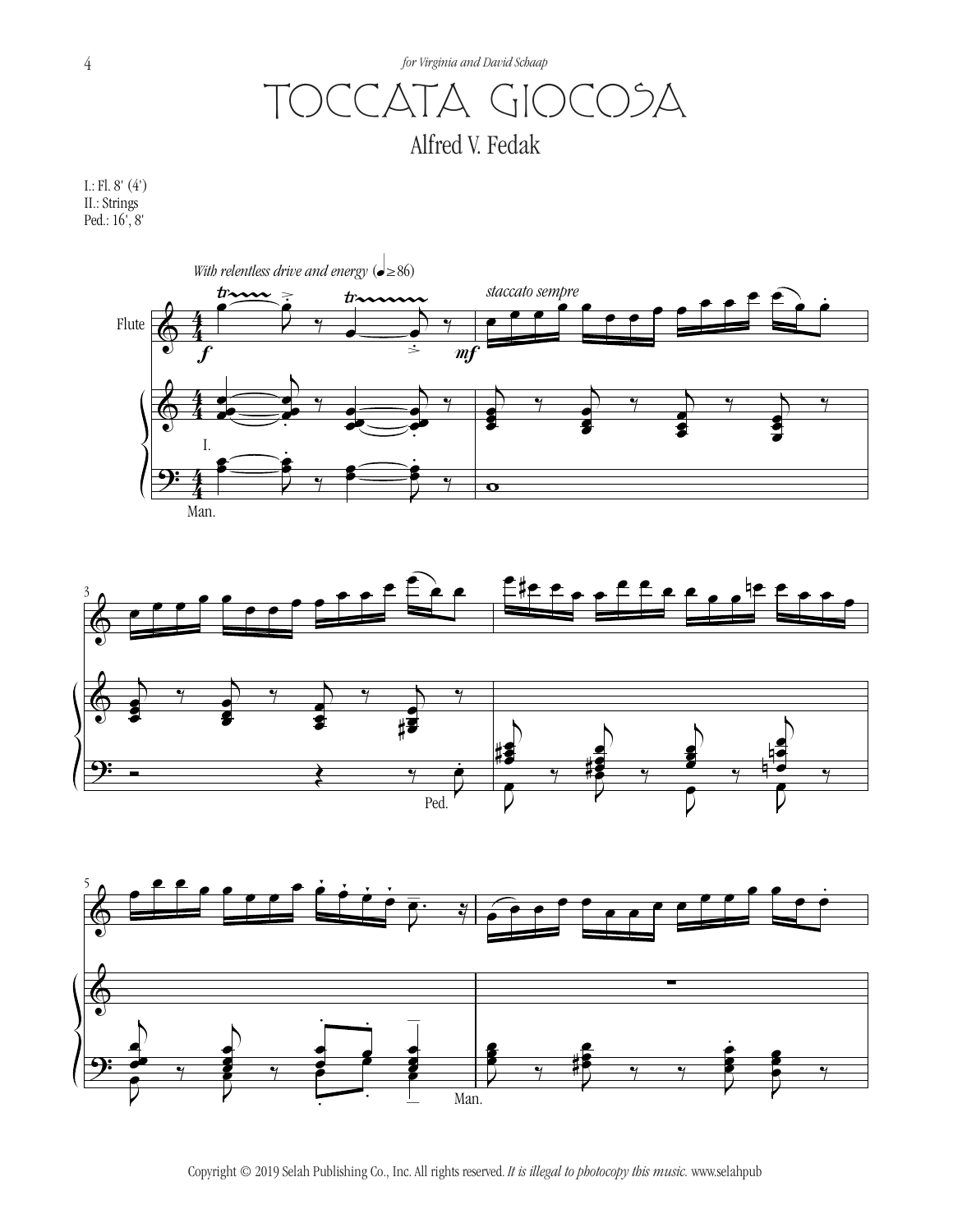

I.: Fl. 8' (4') II.: Strings Ped.: 16', 8'





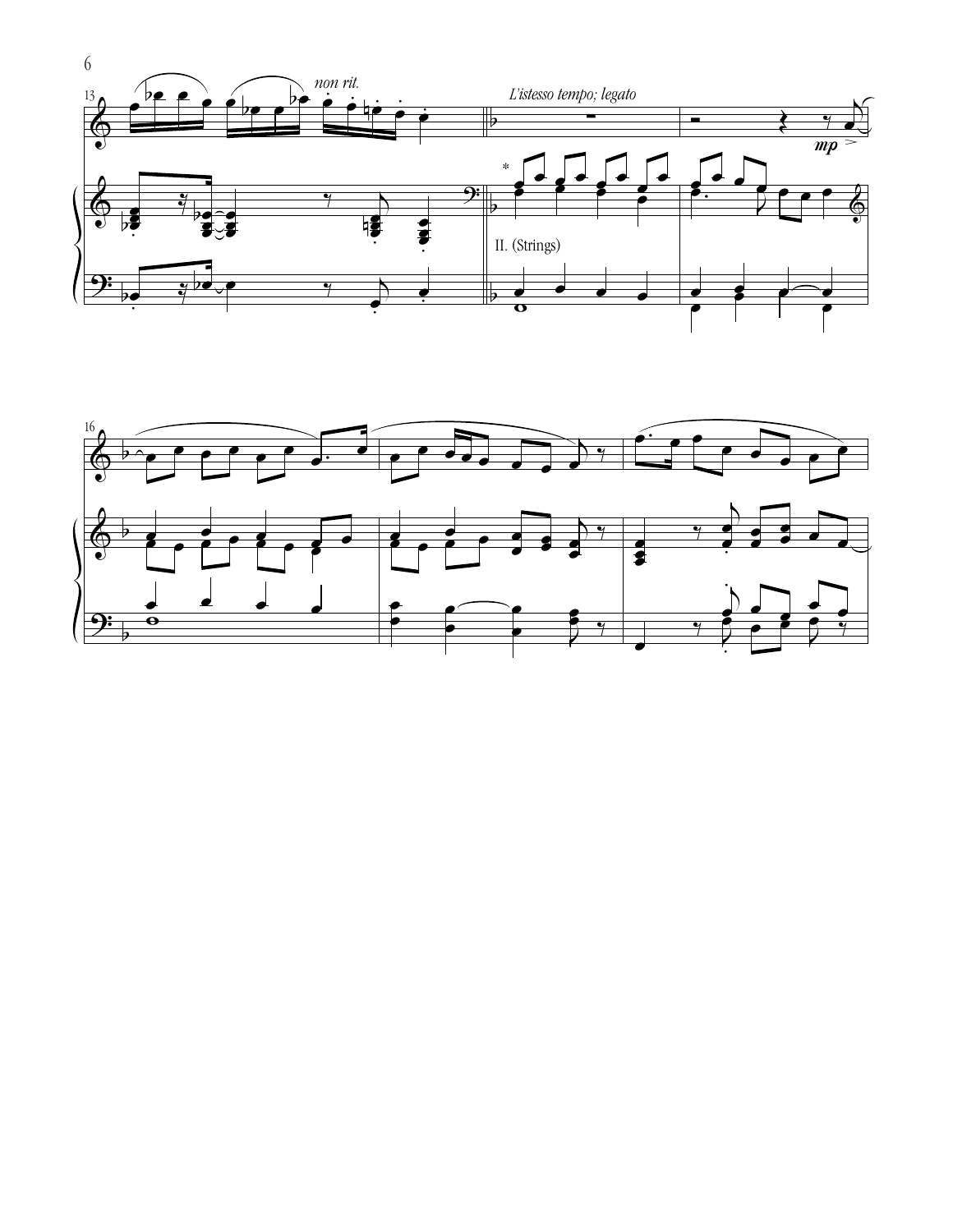

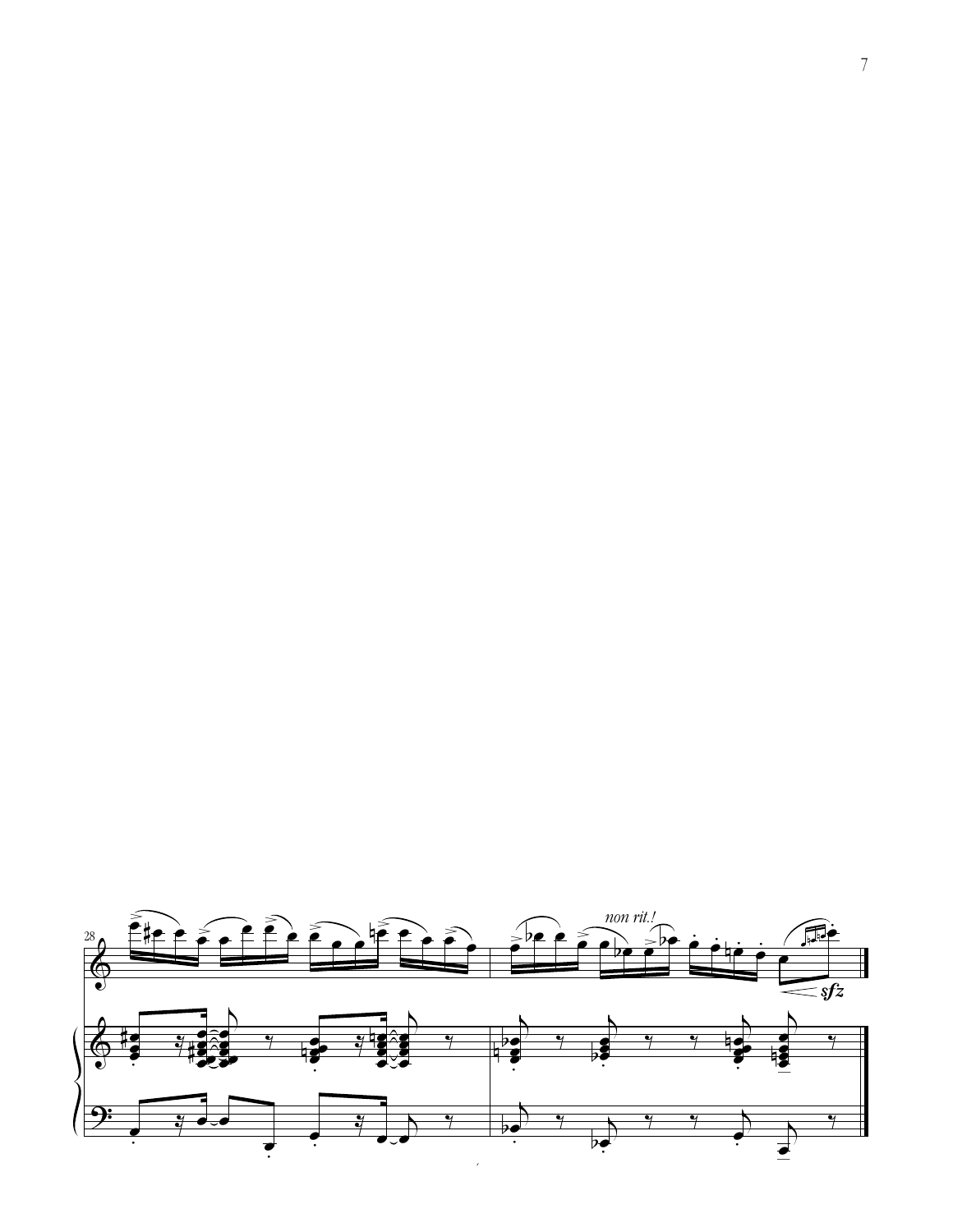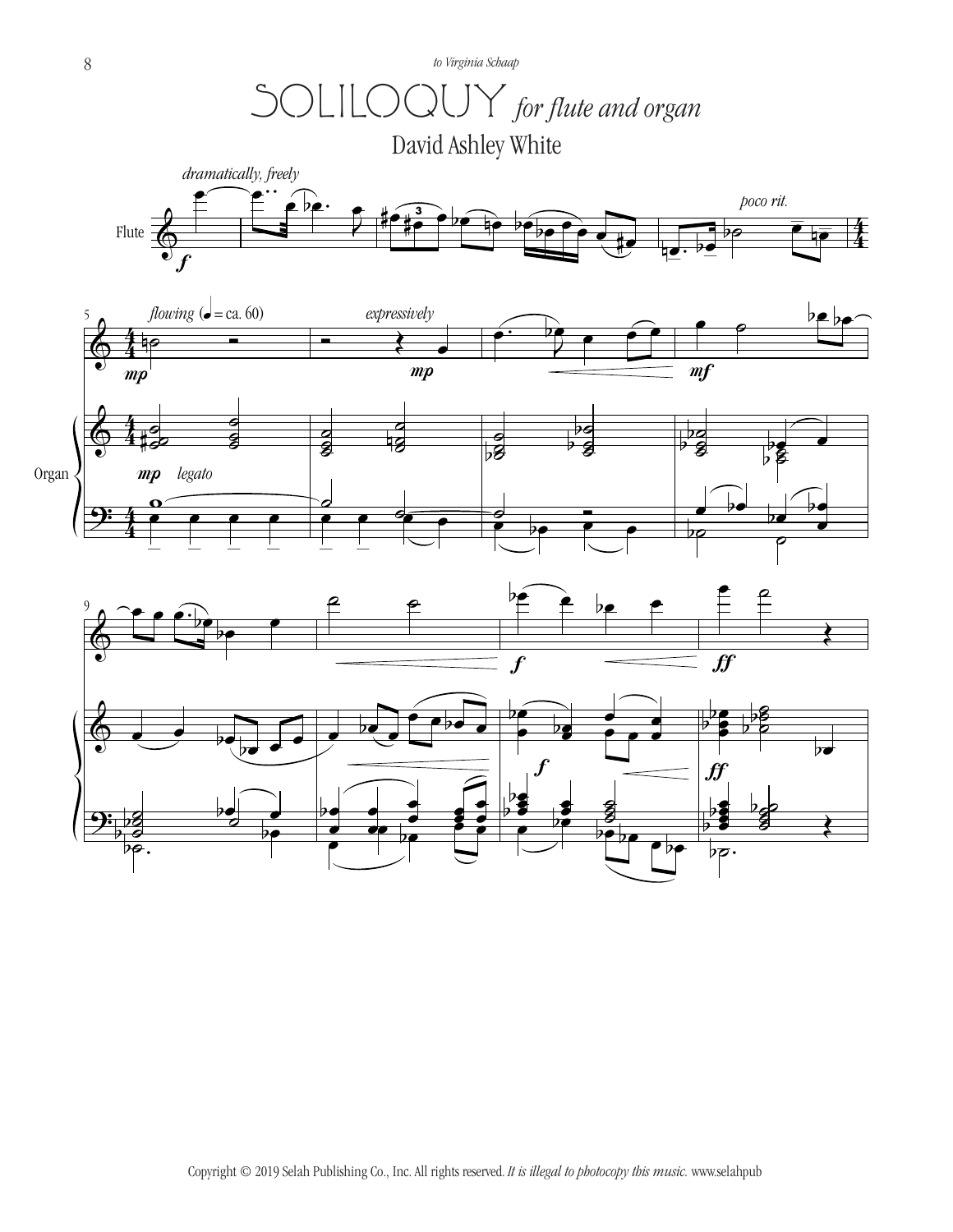

David Ashley White







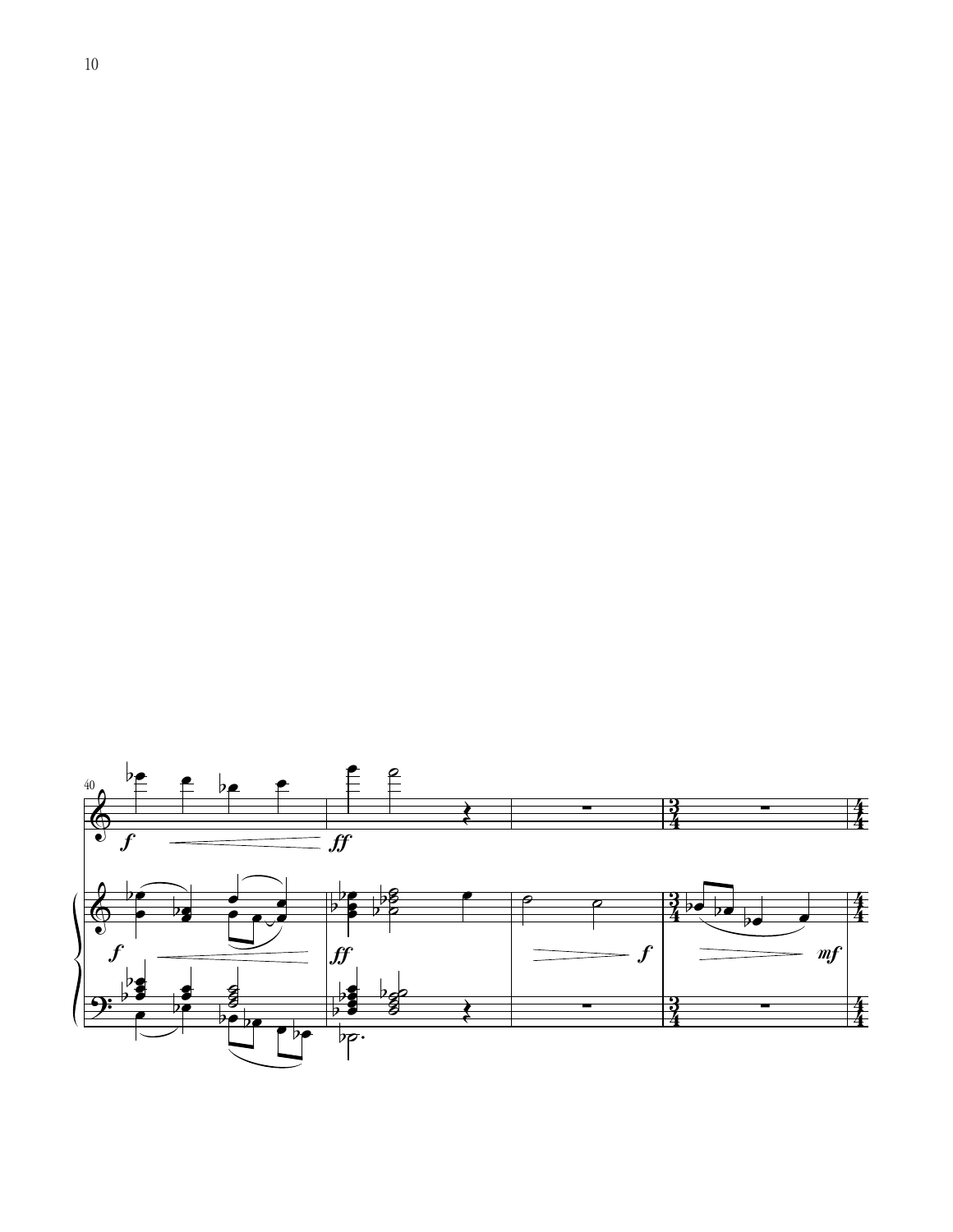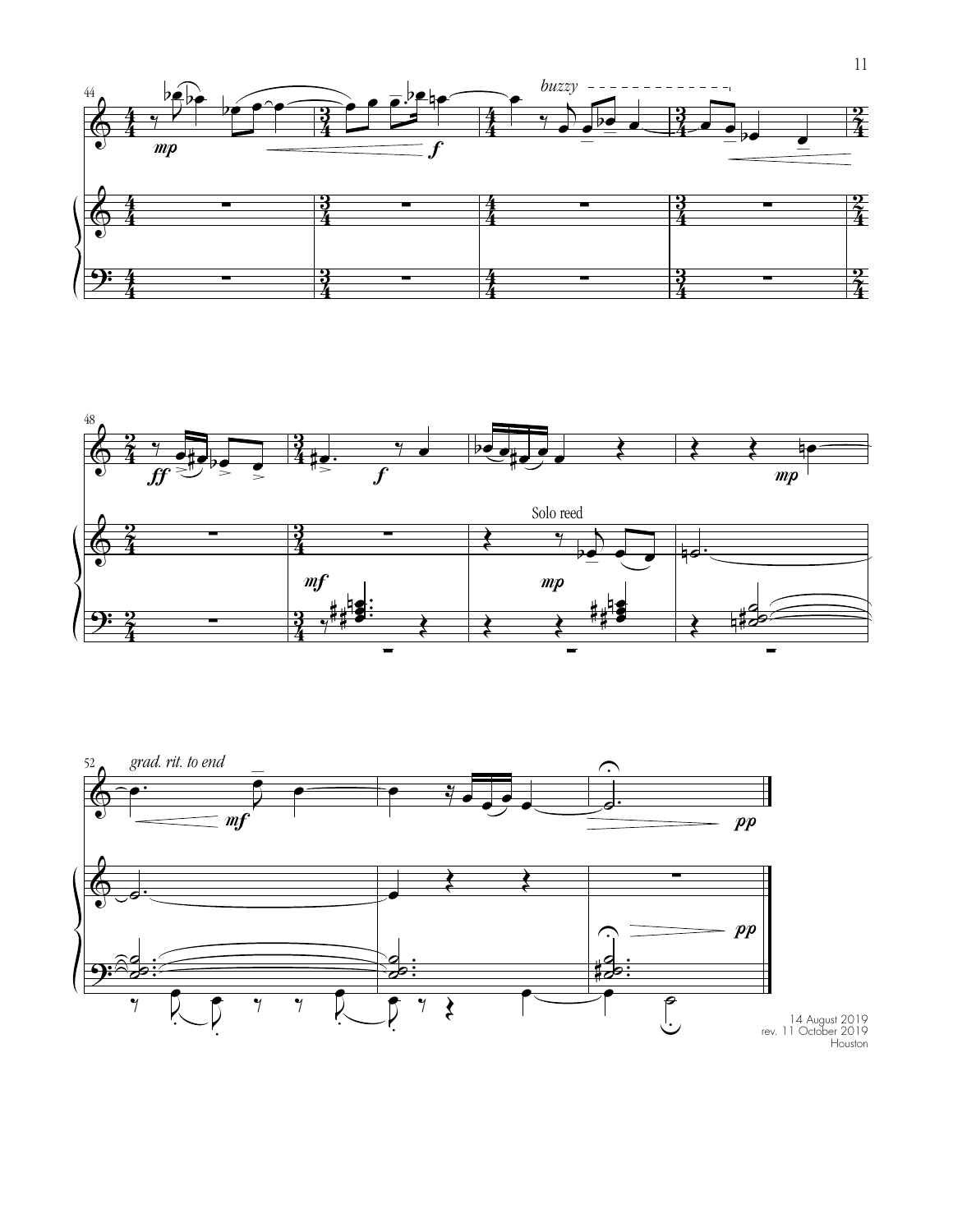



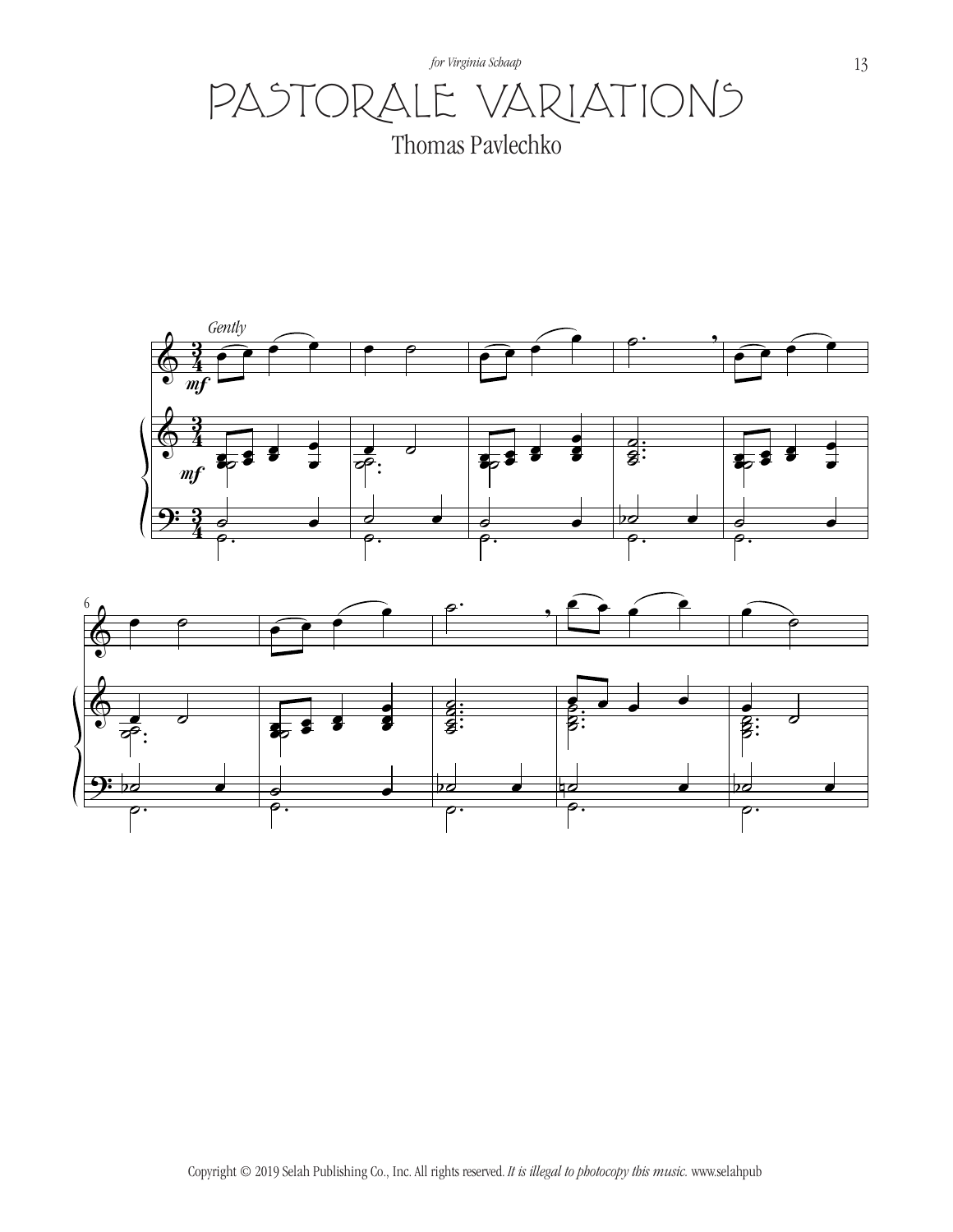Pastorale Variations Pastorale Variations

Thomas Pavlechko



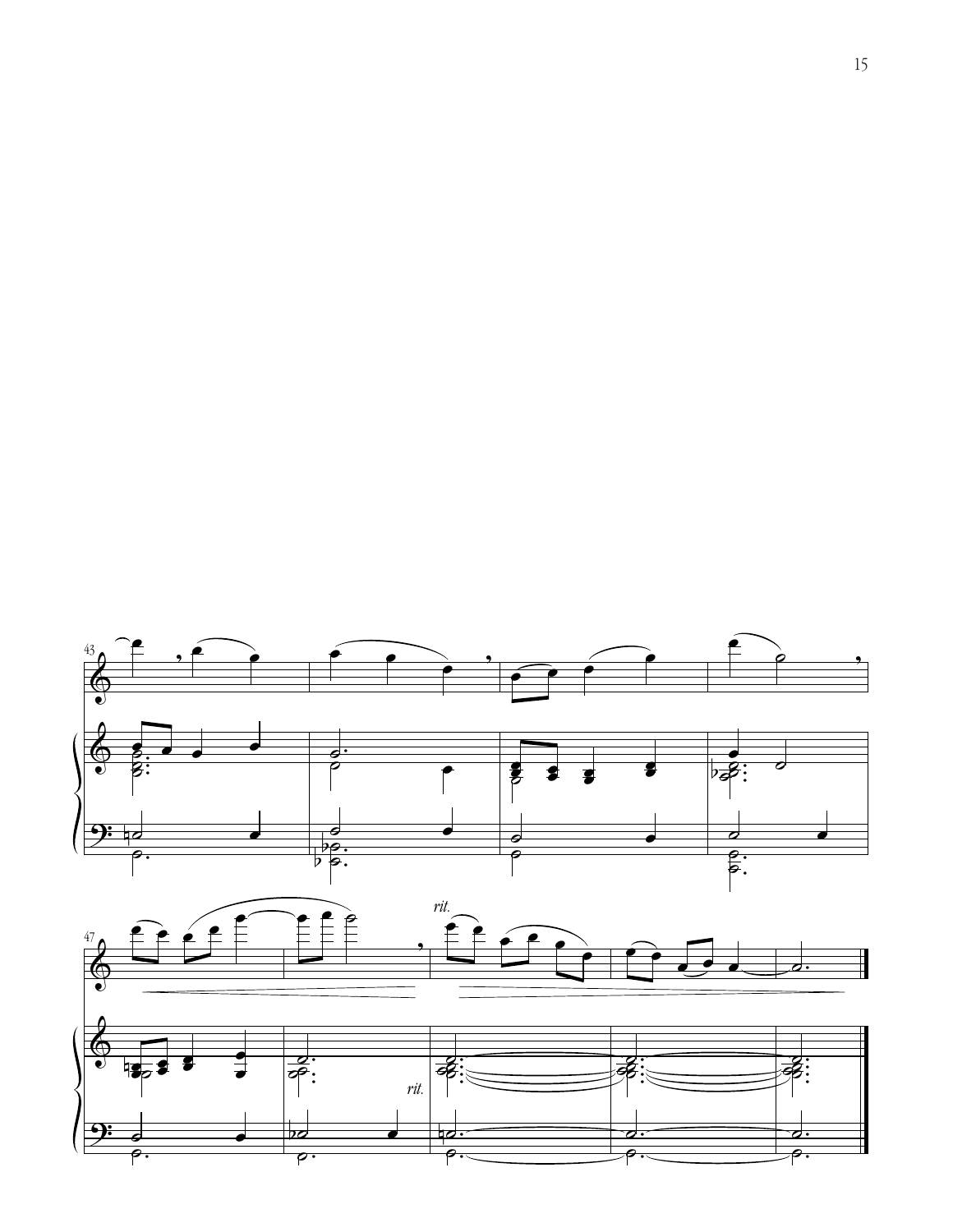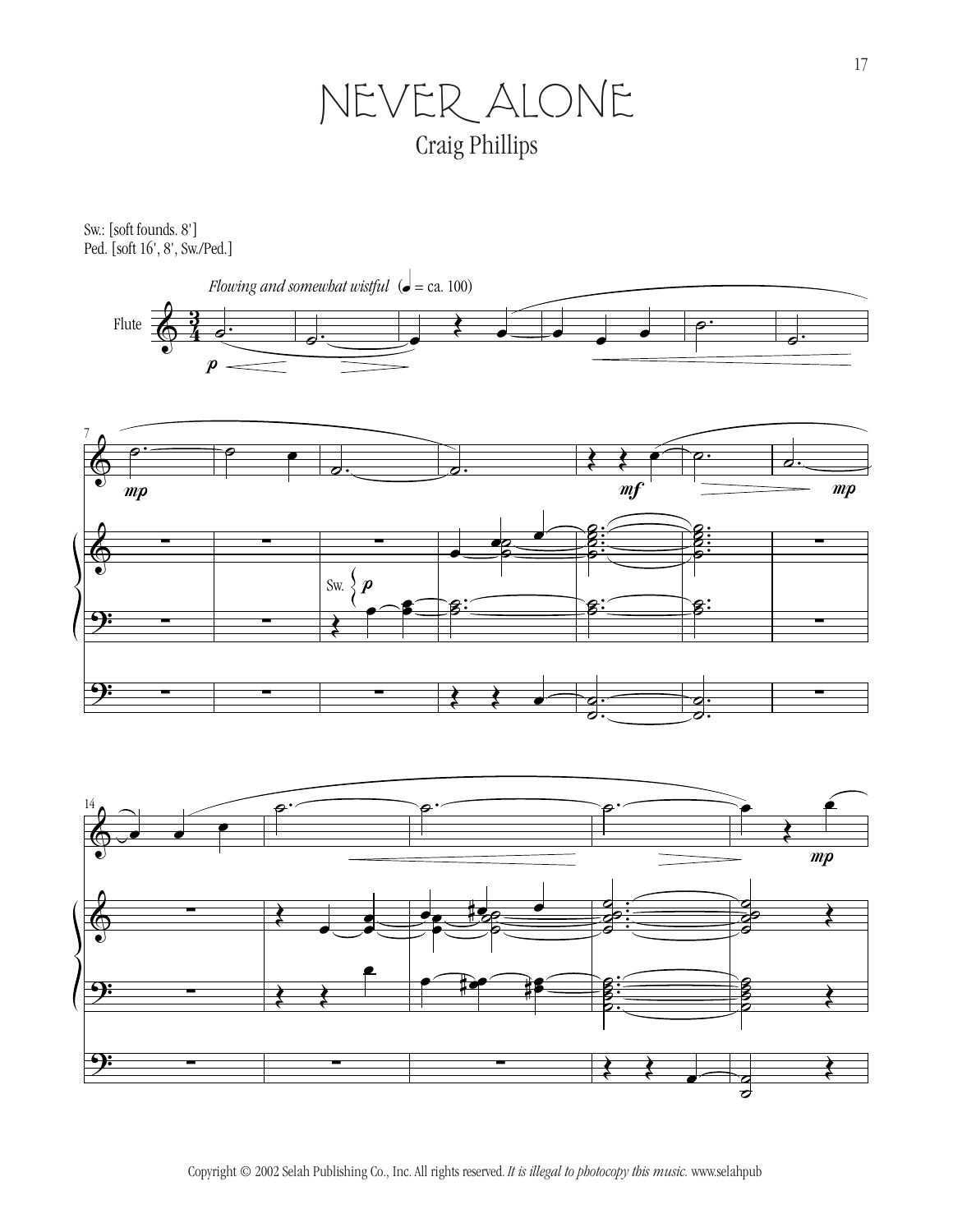

Sw.: [soft founds. 8'] Ped. [soft 16', 8', Sw./Ped.]





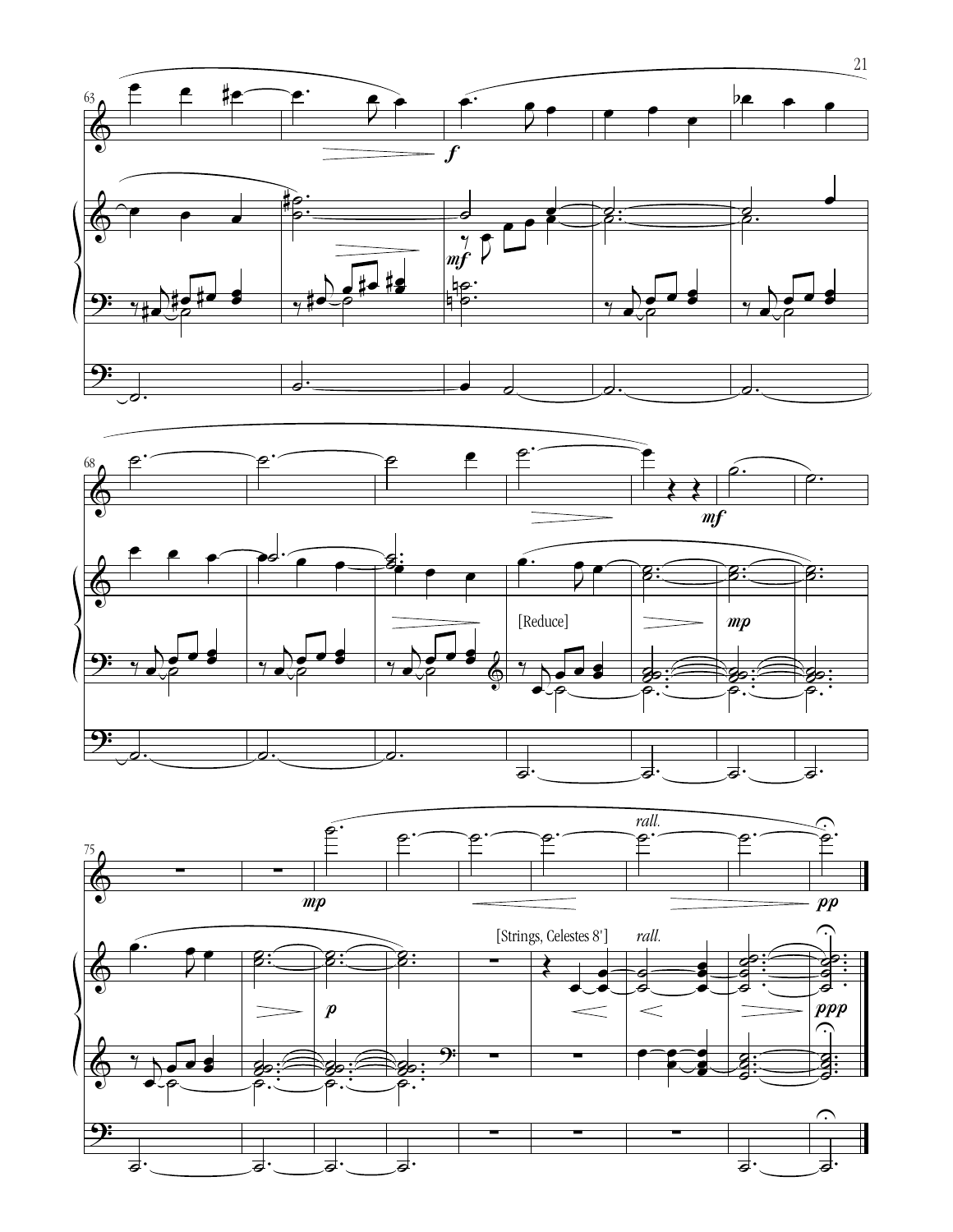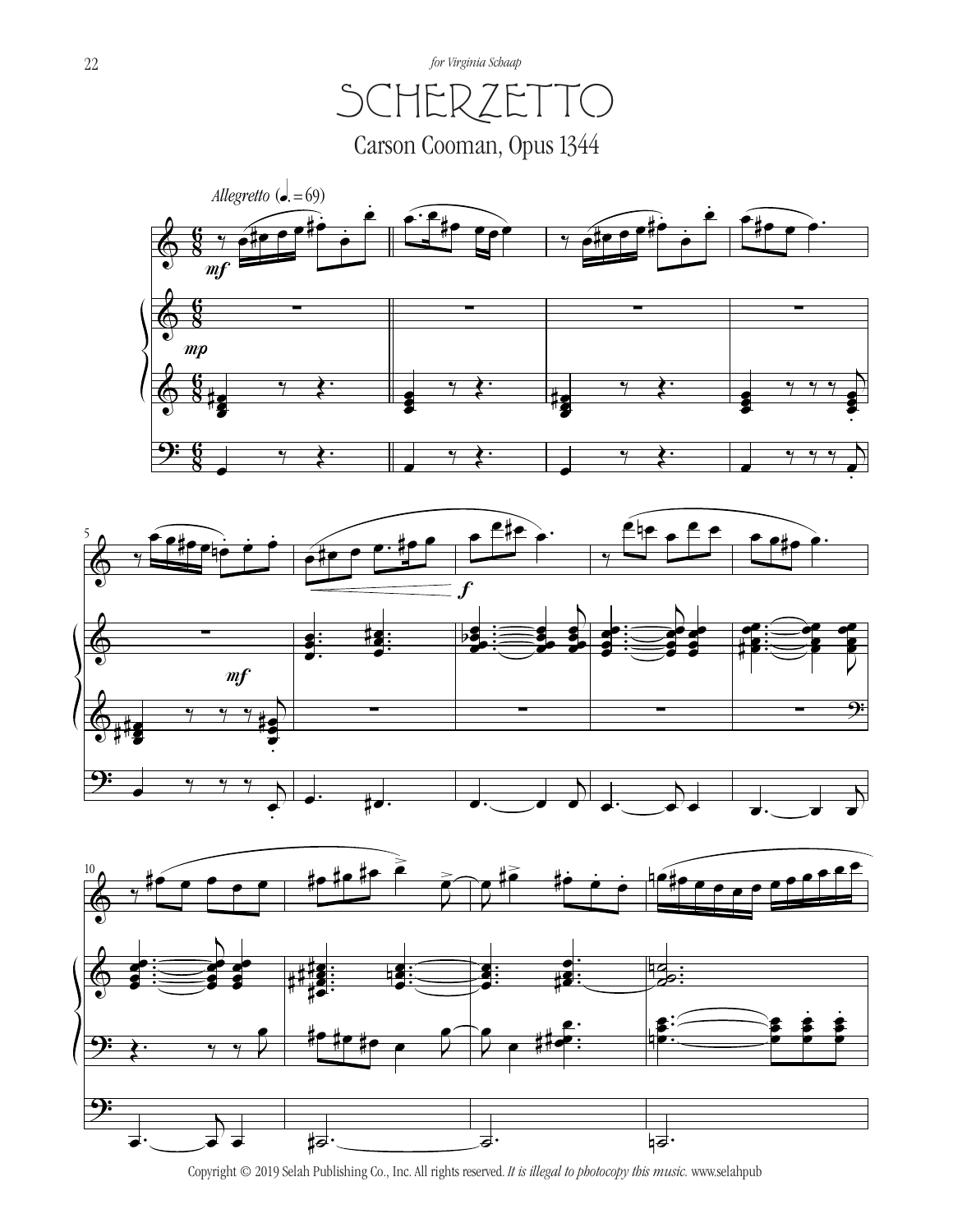







Copyright © 2019 Selah Publishing Co., Inc. All rights reserved. It is illegal to photocopy this music. www.selahpub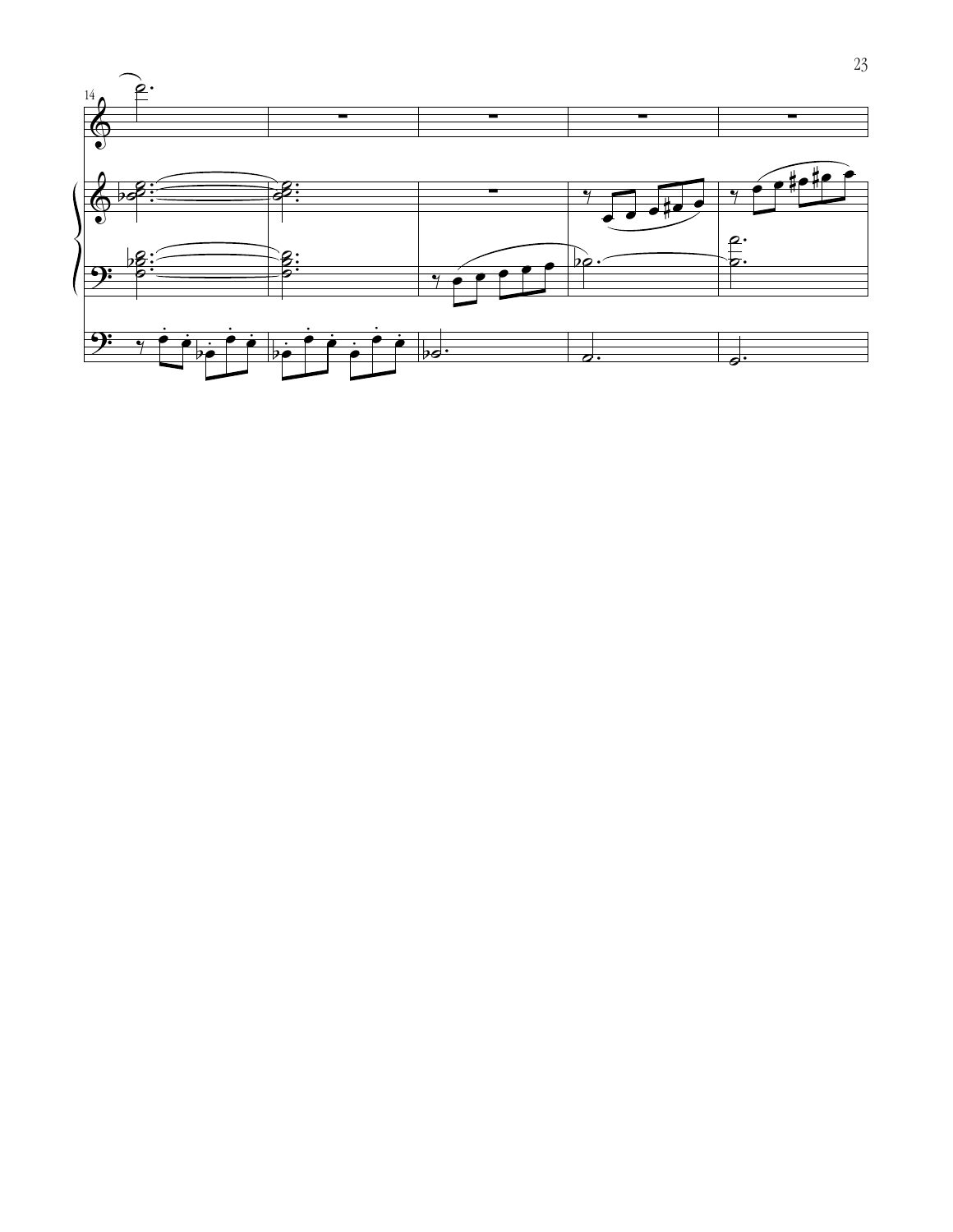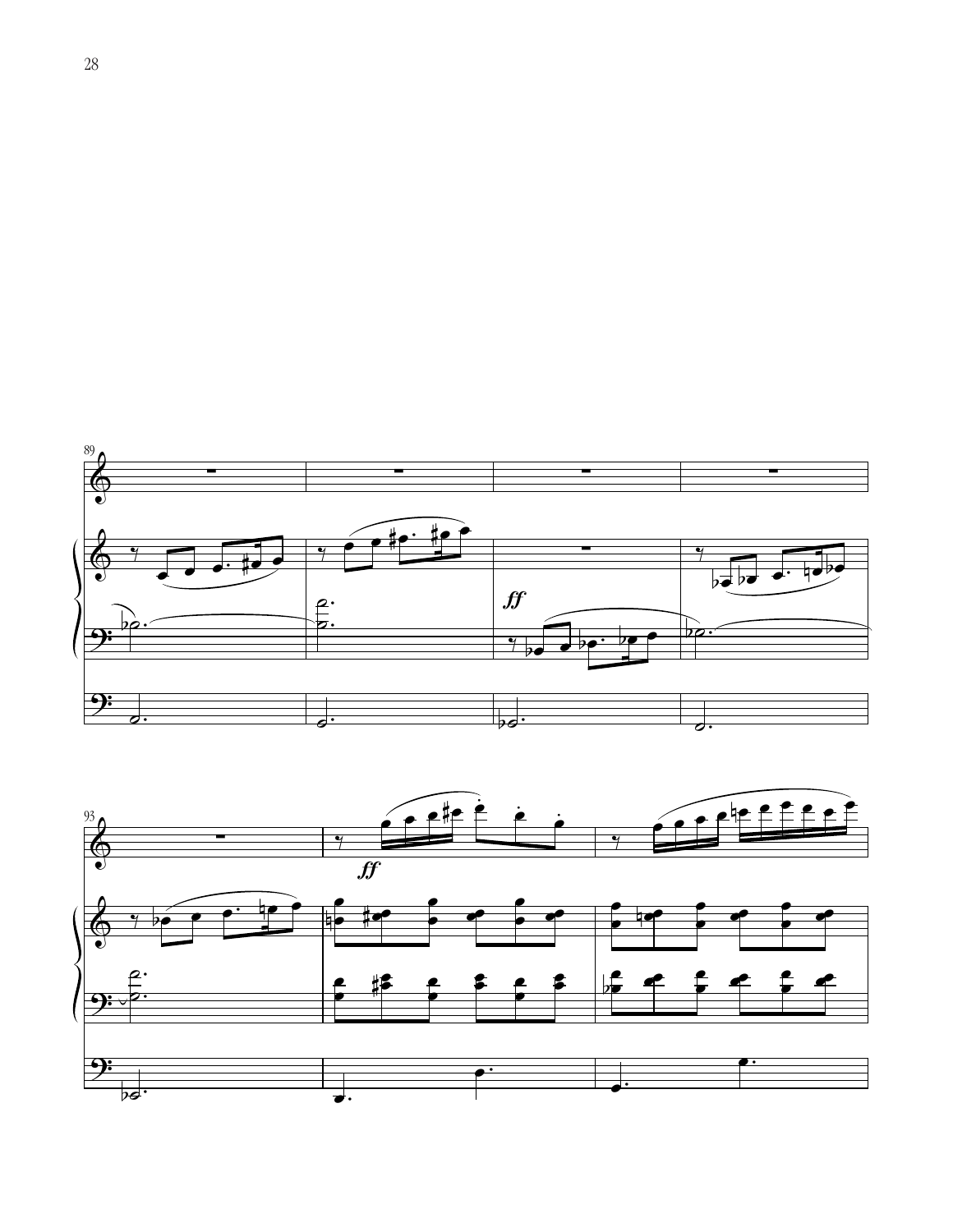

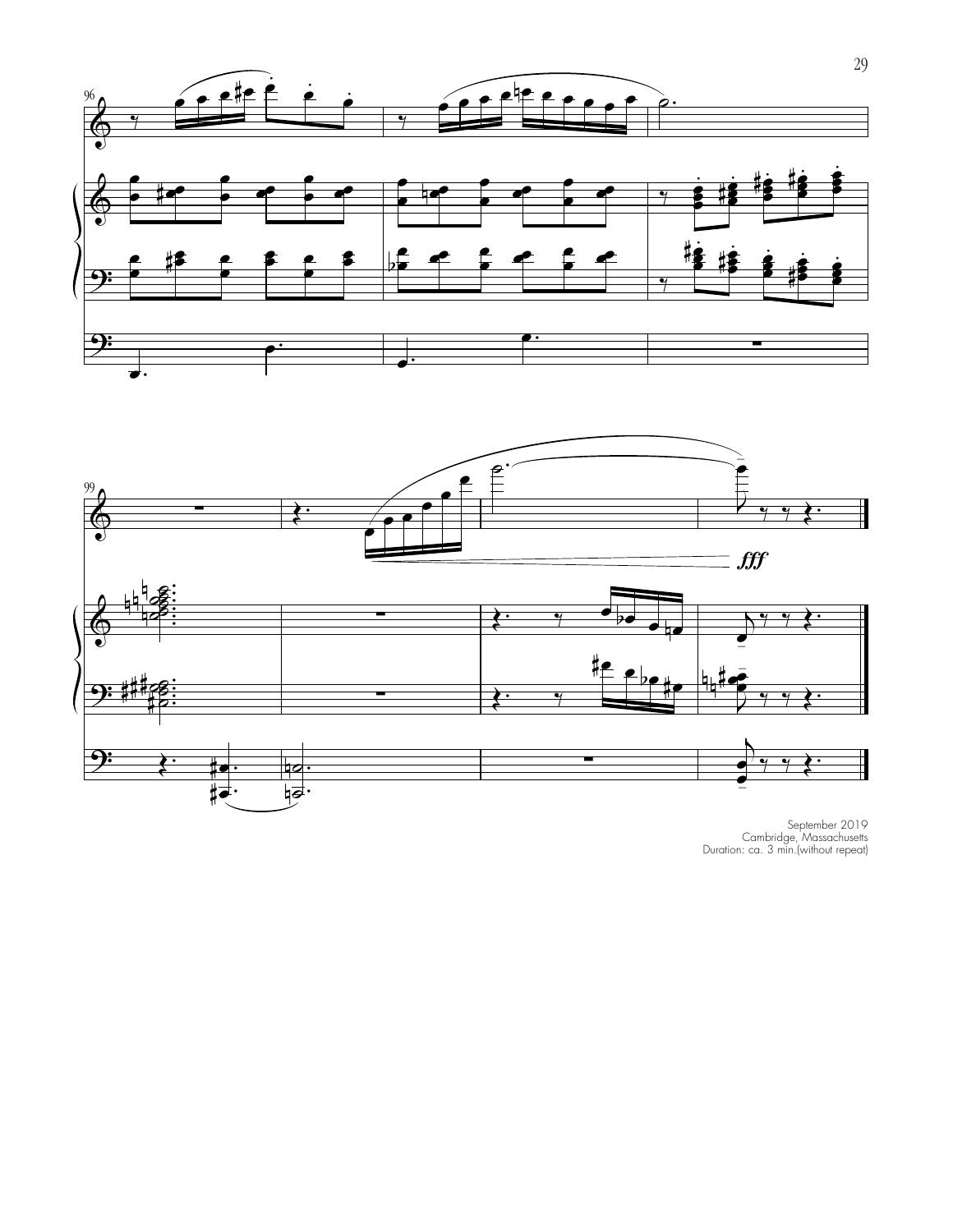



September 2019 Cambridge, Massachusetts Duration: ca. 3 min.(without repeat)